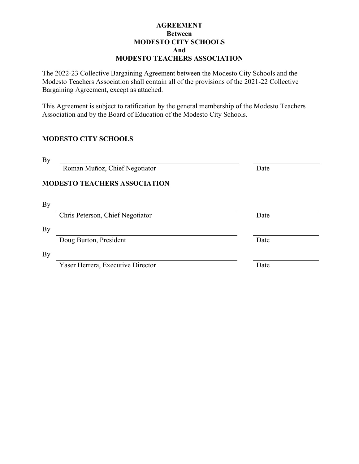#### **AGREEMENT Between MODESTO CITY SCHOOLS And MODESTO TEACHERS ASSOCIATION**

The 2022-23 Collective Bargaining Agreement between the Modesto City Schools and the Modesto Teachers Association shall contain all of the provisions of the 2021-22 Collective Bargaining Agreement, except as attached.

This Agreement is subject to ratification by the general membership of the Modesto Teachers Association and by the Board of Education of the Modesto City Schools.

## **MODESTO CITY SCHOOLS**

| <b>By</b> |                                     |      |
|-----------|-------------------------------------|------|
|           | Roman Muñoz, Chief Negotiator       | Date |
|           | <b>MODESTO TEACHERS ASSOCIATION</b> |      |
| By        |                                     |      |
|           | Chris Peterson, Chief Negotiator    | Date |
| By        |                                     |      |
|           | Doug Burton, President              | Date |
| By        |                                     |      |
|           | Yaser Herrera, Executive Director   | Date |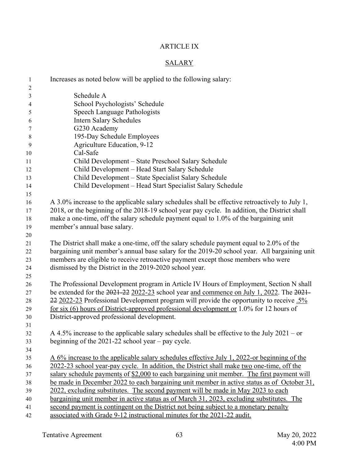## ARTICLE IX

# **SALARY**

| $\mathbf{1}$<br>$\overline{c}$ | Increases as noted below will be applied to the following salary:                              |
|--------------------------------|------------------------------------------------------------------------------------------------|
| $\mathfrak{Z}$                 | Schedule A                                                                                     |
| $\overline{4}$                 | School Psychologists' Schedule                                                                 |
| 5                              | Speech Language Pathologists                                                                   |
| 6                              | <b>Intern Salary Schedules</b>                                                                 |
| 7                              | G230 Academy                                                                                   |
| 8                              | 195-Day Schedule Employees                                                                     |
| 9                              | Agriculture Education, 9-12                                                                    |
| 10                             | Cal-Safe                                                                                       |
| 11                             | Child Development - State Preschool Salary Schedule                                            |
| 12                             | Child Development - Head Start Salary Schedule                                                 |
| 13                             | Child Development - State Specialist Salary Schedule                                           |
| 14                             | Child Development - Head Start Specialist Salary Schedule                                      |
| 15                             |                                                                                                |
| 16                             | A 3.0% increase to the applicable salary schedules shall be effective retroactively to July 1, |
| 17                             | 2018, or the beginning of the 2018-19 school year pay cycle. In addition, the District shall   |
| 18                             | make a one-time, off the salary schedule payment equal to 1.0% of the bargaining unit          |
| 19                             | member's annual base salary.                                                                   |
| 20                             |                                                                                                |
| 21                             | The District shall make a one-time, off the salary schedule payment equal to 2.0% of the       |
| 22                             | bargaining unit member's annual base salary for the 2019-20 school year. All bargaining unit   |
| 23                             | members are eligible to receive retroactive payment except those members who were              |
| 24                             | dismissed by the District in the 2019-2020 school year.                                        |
| 25                             |                                                                                                |
| 26                             | The Professional Development program in Article IV Hours of Employment, Section N shall        |
| 27                             | be extended for the $2021-22$ $2022-23$ school year and commence on July 1, 2022. The $2021-$  |
| 28                             | 22 2022-23 Professional Development program will provide the opportunity to receive .5%        |
| 29                             | for six $(6)$ hours of District-approved professional development or 1.0% for 12 hours of      |
| 30                             | District-approved professional development.                                                    |
| 31                             |                                                                                                |
| 32                             | A 4.5% increase to the applicable salary schedules shall be effective to the July 2021 – or    |
| 33                             | beginning of the $2021-22$ school year – pay cycle.                                            |
| 34                             |                                                                                                |
| 35                             | A 6% increase to the applicable salary schedules effective July 1, 2022-or beginning of the    |
| 36                             | 2022-23 school year-pay cycle. In addition, the District shall make two one-time, off the      |
| 37                             | salary schedule payments of \$2,000 to each bargaining unit member. The first payment will     |
| 38                             | be made in December 2022 to each bargaining unit member in active status as of October 31,     |
| 39                             | 2022, excluding substitutes. The second payment will be made in May 2023 to each               |
| 40                             | bargaining unit member in active status as of March 31, 2023, excluding substitutes. The       |
| 41                             | second payment is contingent on the District not being subject to a monetary penalty           |
| 42                             | associated with Grade 9-12 instructional minutes for the 2021-22 audit.                        |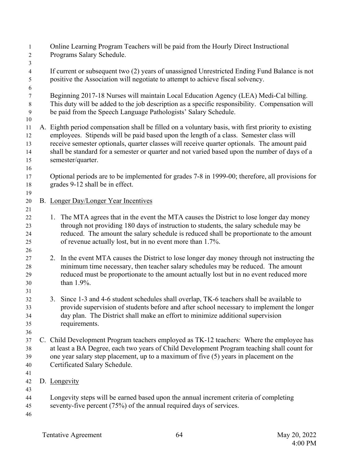| $\mathbf{1}$<br>$\overline{c}$   | Online Learning Program Teachers will be paid from the Hourly Direct Instructional<br>Programs Salary Schedule.                                                                                                                                                                                                                                                                                                    |
|----------------------------------|--------------------------------------------------------------------------------------------------------------------------------------------------------------------------------------------------------------------------------------------------------------------------------------------------------------------------------------------------------------------------------------------------------------------|
| 3<br>$\overline{4}$<br>5<br>6    | If current or subsequent two (2) years of unassigned Unrestricted Ending Fund Balance is not<br>positive the Association will negotiate to attempt to achieve fiscal solvency.                                                                                                                                                                                                                                     |
| $\tau$<br>$\,8\,$<br>9<br>10     | Beginning 2017-18 Nurses will maintain Local Education Agency (LEA) Medi-Cal billing.<br>This duty will be added to the job description as a specific responsibility. Compensation will<br>be paid from the Speech Language Pathologists' Salary Schedule.                                                                                                                                                         |
| 11<br>12<br>13<br>14<br>15<br>16 | A. Eighth period compensation shall be filled on a voluntary basis, with first priority to existing<br>employees. Stipends will be paid based upon the length of a class. Semester class will<br>receive semester optionals, quarter classes will receive quarter optionals. The amount paid<br>shall be standard for a semester or quarter and not varied based upon the number of days of a<br>semester/quarter. |
| 17<br>18<br>19                   | Optional periods are to be implemented for grades 7-8 in 1999-00; therefore, all provisions for<br>grades 9-12 shall be in effect.                                                                                                                                                                                                                                                                                 |
| 20<br>21                         | B. Longer Day/Longer Year Incentives                                                                                                                                                                                                                                                                                                                                                                               |
| 22<br>23<br>24<br>25<br>26       | 1. The MTA agrees that in the event the MTA causes the District to lose longer day money<br>through not providing 180 days of instruction to students, the salary schedule may be<br>reduced. The amount the salary schedule is reduced shall be proportionate to the amount<br>of revenue actually lost, but in no event more than 1.7%.                                                                          |
| 27<br>28<br>29<br>30             | 2. In the event MTA causes the District to lose longer day money through not instructing the<br>minimum time necessary, then teacher salary schedules may be reduced. The amount<br>reduced must be proportionate to the amount actually lost but in no event reduced more<br>than 1.9%.                                                                                                                           |
| 31<br>32<br>33<br>34<br>35<br>36 | 3. Since 1-3 and 4-6 student schedules shall overlap, TK-6 teachers shall be available to<br>provide supervision of students before and after school necessary to implement the longer<br>day plan. The District shall make an effort to minimize additional supervision<br>requirements.                                                                                                                          |
| 37<br>38<br>39<br>40<br>41       | C. Child Development Program teachers employed as TK-12 teachers: Where the employee has<br>at least a BA Degree, each two years of Child Development Program teaching shall count for<br>one year salary step placement, up to a maximum of five (5) years in placement on the<br>Certificated Salary Schedule.                                                                                                   |
| 42<br>43                         | D. Longevity                                                                                                                                                                                                                                                                                                                                                                                                       |
| 44<br>45<br>46                   | Longevity steps will be earned based upon the annual increment criteria of completing<br>seventy-five percent (75%) of the annual required days of services.                                                                                                                                                                                                                                                       |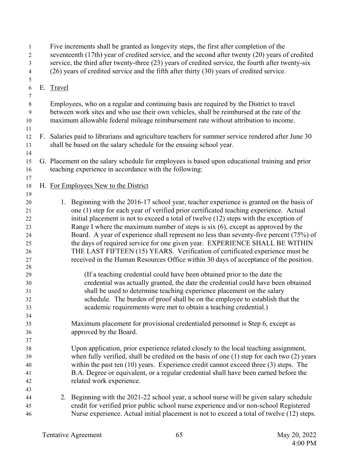| $\mathbf{1}$<br>$\overline{2}$<br>3<br>$\overline{4}$ |    |               | Five increments shall be granted as longevity steps, the first after completion of the<br>seventeenth (17th) year of credited service, and the second after twenty (20) years of credited<br>service, the third after twenty-three (23) years of credited service, the fourth after twenty-six<br>(26) years of credited service and the fifth after thirty (30) years of credited service. |
|-------------------------------------------------------|----|---------------|---------------------------------------------------------------------------------------------------------------------------------------------------------------------------------------------------------------------------------------------------------------------------------------------------------------------------------------------------------------------------------------------|
| 5<br>6                                                | Е. | <b>Travel</b> |                                                                                                                                                                                                                                                                                                                                                                                             |
| $\boldsymbol{7}$<br>$\,8\,$                           |    |               | Employees, who on a regular and continuing basis are required by the District to travel                                                                                                                                                                                                                                                                                                     |
| 9                                                     |    |               | between work sites and who use their own vehicles, shall be reimbursed at the rate of the                                                                                                                                                                                                                                                                                                   |
| 10                                                    |    |               | maximum allowable federal mileage reimbursement rate without attribution to income.                                                                                                                                                                                                                                                                                                         |
| 11                                                    |    |               |                                                                                                                                                                                                                                                                                                                                                                                             |
| 12                                                    |    |               | F. Salaries paid to librarians and agriculture teachers for summer service rendered after June 30                                                                                                                                                                                                                                                                                           |
| 13                                                    |    |               | shall be based on the salary schedule for the ensuing school year.                                                                                                                                                                                                                                                                                                                          |
| 14                                                    |    |               |                                                                                                                                                                                                                                                                                                                                                                                             |
| 15                                                    |    |               | G. Placement on the salary schedule for employees is based upon educational training and prior                                                                                                                                                                                                                                                                                              |
| 16                                                    |    |               | teaching experience in accordance with the following:                                                                                                                                                                                                                                                                                                                                       |
| 17                                                    |    |               |                                                                                                                                                                                                                                                                                                                                                                                             |
| 18                                                    |    |               | H. For Employees New to the District                                                                                                                                                                                                                                                                                                                                                        |
| 19                                                    |    |               |                                                                                                                                                                                                                                                                                                                                                                                             |
| 20                                                    |    |               | 1. Beginning with the 2016-17 school year, teacher experience is granted on the basis of                                                                                                                                                                                                                                                                                                    |
| 21                                                    |    |               | one (1) step for each year of verified prior certificated teaching experience. Actual                                                                                                                                                                                                                                                                                                       |
| 22                                                    |    |               | initial placement is not to exceed a total of twelve (12) steps with the exception of                                                                                                                                                                                                                                                                                                       |
| 23                                                    |    |               | Range I where the maximum number of steps is $\sin(6)$ , except as approved by the                                                                                                                                                                                                                                                                                                          |
| 24                                                    |    |               | Board. A year of experience shall represent no less than seventy-five percent (75%) of                                                                                                                                                                                                                                                                                                      |
| 25                                                    |    |               | the days of required service for one given year. EXPERIENCE SHALL BE WITHIN                                                                                                                                                                                                                                                                                                                 |
| 26                                                    |    |               | THE LAST FIFTEEN (15) YEARS. Verification of certificated experience must be                                                                                                                                                                                                                                                                                                                |
| $27\,$                                                |    |               | received in the Human Resources Office within 30 days of acceptance of the position.                                                                                                                                                                                                                                                                                                        |
| 28                                                    |    |               |                                                                                                                                                                                                                                                                                                                                                                                             |
| 29                                                    |    |               | (If a teaching credential could have been obtained prior to the date the                                                                                                                                                                                                                                                                                                                    |
| 30                                                    |    |               | credential was actually granted, the date the credential could have been obtained                                                                                                                                                                                                                                                                                                           |
| 31                                                    |    |               | shall be used to determine teaching experience placement on the salary                                                                                                                                                                                                                                                                                                                      |
| 32                                                    |    |               | schedule. The burden of proof shall be on the employee to establish that the                                                                                                                                                                                                                                                                                                                |
| 33                                                    |    |               | academic requirements were met to obtain a teaching credential.)                                                                                                                                                                                                                                                                                                                            |
| 34                                                    |    |               |                                                                                                                                                                                                                                                                                                                                                                                             |
| 35                                                    |    |               | Maximum placement for provisional credentialed personnel is Step 6, except as                                                                                                                                                                                                                                                                                                               |
| 36                                                    |    |               | approved by the Board.                                                                                                                                                                                                                                                                                                                                                                      |
| 37                                                    |    |               | Upon application, prior experience related closely to the local teaching assignment,                                                                                                                                                                                                                                                                                                        |
| 38                                                    |    |               | when fully verified, shall be credited on the basis of one $(1)$ step for each two $(2)$ years                                                                                                                                                                                                                                                                                              |
| 39<br>40                                              |    |               | within the past ten $(10)$ years. Experience credit cannot exceed three $(3)$ steps. The                                                                                                                                                                                                                                                                                                    |
| 41                                                    |    |               | B.A. Degree or equivalent, or a regular credential shall have been earned before the                                                                                                                                                                                                                                                                                                        |
| 42                                                    |    |               | related work experience.                                                                                                                                                                                                                                                                                                                                                                    |
| 43                                                    |    |               |                                                                                                                                                                                                                                                                                                                                                                                             |
| 44                                                    |    |               | 2. Beginning with the 2021-22 school year, a school nurse will be given salary schedule                                                                                                                                                                                                                                                                                                     |
| 45                                                    |    |               | credit for verified prior public school nurse experience and/or non-school Registered                                                                                                                                                                                                                                                                                                       |
| 46                                                    |    |               | Nurse experience. Actual initial placement is not to exceed a total of twelve (12) steps.                                                                                                                                                                                                                                                                                                   |
|                                                       |    |               |                                                                                                                                                                                                                                                                                                                                                                                             |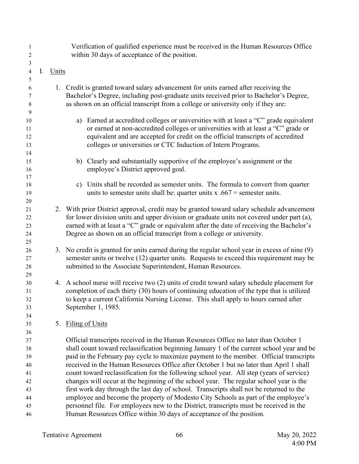| 1<br>$\overline{c}$<br>3         |    |              | Verification of qualified experience must be received in the Human Resources Office<br>within 30 days of acceptance of the position.                                                                                                                                                                                                                                                                                                                                                                                                                       |
|----------------------------------|----|--------------|------------------------------------------------------------------------------------------------------------------------------------------------------------------------------------------------------------------------------------------------------------------------------------------------------------------------------------------------------------------------------------------------------------------------------------------------------------------------------------------------------------------------------------------------------------|
| $\overline{4}$<br>5              | I. | <u>Units</u> |                                                                                                                                                                                                                                                                                                                                                                                                                                                                                                                                                            |
| 6<br>7<br>8                      |    |              | 1. Credit is granted toward salary advancement for units earned after receiving the<br>Bachelor's Degree, including post-graduate units received prior to Bachelor's Degree,<br>as shown on an official transcript from a college or university only if they are:                                                                                                                                                                                                                                                                                          |
| 9<br>10<br>11<br>12<br>13        |    |              | a) Earned at accredited colleges or universities with at least a "C" grade equivalent<br>or earned at non-accredited colleges or universities with at least a "C" grade or<br>equivalent and are accepted for credit on the official transcripts of accredited<br>colleges or universities or CTC Induction of Intern Programs.                                                                                                                                                                                                                            |
| 14<br>15<br>16<br>17             |    |              | b) Clearly and substantially supportive of the employee's assignment or the<br>employee's District approved goal.                                                                                                                                                                                                                                                                                                                                                                                                                                          |
| 18<br>19<br>20                   |    |              | Units shall be recorded as semester units. The formula to convert from quarter<br>c)<br>units to semester units shall be: quarter units x $.667$ = semester units.                                                                                                                                                                                                                                                                                                                                                                                         |
| 21<br>22<br>23<br>24             |    |              | 2. With prior District approval, credit may be granted toward salary schedule advancement<br>for lower division units and upper division or graduate units not covered under part (a),<br>earned with at least a "C" grade or equivalent after the date of receiving the Bachelor's<br>Degree as shown on an official transcript from a college or university.                                                                                                                                                                                             |
| 25<br>26<br>27<br>28<br>29       |    |              | 3. No credit is granted for units earned during the regular school year in excess of nine (9)<br>semester units or twelve (12) quarter units. Requests to exceed this requirement may be<br>submitted to the Associate Superintendent, Human Resources.                                                                                                                                                                                                                                                                                                    |
| 30<br>31<br>32<br>33<br>34       |    |              | 4. A school nurse will receive two (2) units of credit toward salary schedule placement for<br>completion of each thirty (30) hours of continuing education of the type that is utilized<br>to keep a current California Nursing License. This shall apply to hours earned after<br>September 1, 1985.                                                                                                                                                                                                                                                     |
| 35<br>36                         |    | 5.           | Filing of Units                                                                                                                                                                                                                                                                                                                                                                                                                                                                                                                                            |
| 37<br>38<br>39<br>40<br>41<br>42 |    |              | Official transcripts received in the Human Resources Office no later than October 1<br>shall count toward reclassification beginning January 1 of the current school year and be<br>paid in the February pay cycle to maximize payment to the member. Official transcripts<br>received in the Human Resources Office after October 1 but no later than April 1 shall<br>count toward reclassification for the following school year. All step (years of service)<br>changes will occur at the beginning of the school year. The regular school year is the |
| 43<br>44<br>45<br>46             |    |              | first work day through the last day of school. Transcripts shall not be returned to the<br>employee and become the property of Modesto City Schools as part of the employee's<br>personnel file. For employees new to the District, transcripts must be received in the<br>Human Resources Office within 30 days of acceptance of the position.                                                                                                                                                                                                            |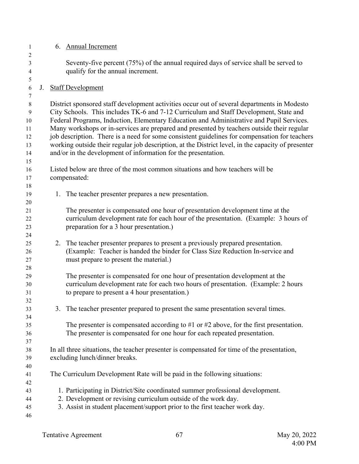1 6. Annual Increment 2 3 Seventy-five percent (75%) of the annual required days of service shall be served to 4 qualify for the annual increment. 5 6 J. Staff Development 7 8 District sponsored staff development activities occur out of several departments in Modesto 9 City Schools. This includes TK-6 and 7-12 Curriculum and Staff Development, State and 10 Federal Programs, Induction, Elementary Education and Administrative and Pupil Services. 11 Many workshops or in-services are prepared and presented by teachers outside their regular 12 job description. There is a need for some consistent guidelines for compensation for teachers 13 working outside their regular job description, at the District level, in the capacity of presenter 14 and/or in the development of information for the presentation. 15 16 Listed below are three of the most common situations and how teachers will be 17 compensated: 18 19 1. The teacher presenter prepares a new presentation. 20 21 The presenter is compensated one hour of presentation development time at the 22 curriculum development rate for each hour of the presentation. (Example: 3 hours of 23 preparation for a 3 hour presentation.) 24 25 2. The teacher presenter prepares to present a previously prepared presentation. 26 (Example: Teacher is handed the binder for Class Size Reduction In-service and 27 must prepare to present the material.) 28 29 The presenter is compensated for one hour of presentation development at the 30 curriculum development rate for each two hours of presentation. (Example: 2 hours 31 to prepare to present a 4 hour presentation.) 32 33 3. The teacher presenter prepared to present the same presentation several times. 34 35 The presenter is compensated according to #1 or #2 above, for the first presentation. 36 The presenter is compensated for one hour for each repeated presentation. 37 38 In all three situations, the teacher presenter is compensated for time of the presentation, 39 excluding lunch/dinner breaks. 40 41 The Curriculum Development Rate will be paid in the following situations: 42 43 1. Participating in District/Site coordinated summer professional development. 44 2. Development or revising curriculum outside of the work day. 45 3. Assist in student placement/support prior to the first teacher work day. 46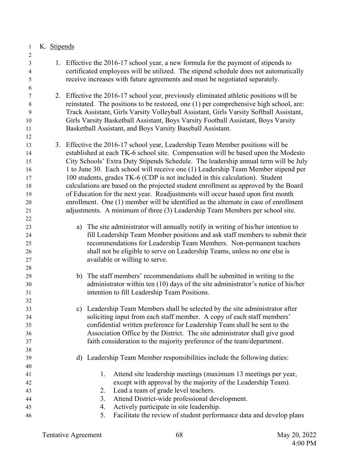| 1              | K. Stipends |                                                                                                                                                                            |
|----------------|-------------|----------------------------------------------------------------------------------------------------------------------------------------------------------------------------|
| $\overline{2}$ |             |                                                                                                                                                                            |
| 3              |             | 1. Effective the 2016-17 school year, a new formula for the payment of stipends to<br>certificated employees will be utilized. The stipend schedule does not automatically |
| 4<br>5         |             | receive increases with future agreements and must be negotiated separately.                                                                                                |
| 6              |             |                                                                                                                                                                            |
| 7              |             | 2. Effective the 2016-17 school year, previously eliminated athletic positions will be                                                                                     |
| 8              |             | reinstated. The positions to be restored, one (1) per comprehensive high school, are:                                                                                      |
| 9              |             | Track Assistant, Girls Varsity Volleyball Assistant, Girls Varsity Softball Assistant,                                                                                     |
| 10             |             | Girls Varsity Basketball Assistant, Boys Varsity Football Assistant, Boys Varsity                                                                                          |
| 11             |             | Basketball Assistant, and Boys Varsity Baseball Assistant.                                                                                                                 |
| 12             |             |                                                                                                                                                                            |
| 13             |             | 3. Effective the 2016-17 school year, Leadership Team Member positions will be                                                                                             |
| 14             |             | established at each TK-6 school site. Compensation will be based upon the Modesto                                                                                          |
| 15             |             | City Schools' Extra Duty Stipends Schedule. The leadership annual term will be July                                                                                        |
| 16             |             | 1 to June 30. Each school will receive one (1) Leadership Team Member stipend per                                                                                          |
| 17             |             | 100 students, grades TK-6 (CDP is not included in this calculation). Student                                                                                               |
| 18             |             | calculations are based on the projected student enrollment as approved by the Board                                                                                        |
| 19             |             | of Education for the next year. Readjustments will occur based upon first month                                                                                            |
| 20             |             | enrollment. One (1) member will be identified as the alternate in case of enrollment                                                                                       |
| 21             |             | adjustments. A minimum of three (3) Leadership Team Members per school site.                                                                                               |
| 22             |             |                                                                                                                                                                            |
| 23             |             | The site administrator will annually notify in writing of his/her intention to<br>a)<br>fill Leadership Team Member positions and ask staff members to submit their        |
| 24<br>25       |             | recommendations for Leadership Team Members. Non-permanent teachers                                                                                                        |
| 26             |             | shall not be eligible to serve on Leadership Teams, unless no one else is                                                                                                  |
| 27             |             | available or willing to serve.                                                                                                                                             |
| 28             |             |                                                                                                                                                                            |
| 29             |             | b) The staff members' recommendations shall be submitted in writing to the                                                                                                 |
| 30             |             | administrator within ten (10) days of the site administrator's notice of his/her                                                                                           |
| 31             |             | intention to fill Leadership Team Positions.                                                                                                                               |
| 32             |             |                                                                                                                                                                            |
| 33             |             | c) Leadership Team Members shall be selected by the site administrator after                                                                                               |
| 34             |             | soliciting input from each staff member. A copy of each staff members'                                                                                                     |
| 35             |             | confidential written preference for Leadership Team shall be sent to the                                                                                                   |
| 36             |             | Association Office by the District. The site administrator shall give good                                                                                                 |
| 37             |             | faith consideration to the majority preference of the team/department.                                                                                                     |
| 38             |             |                                                                                                                                                                            |
| 39             |             | d) Leadership Team Member responsibilities include the following duties:                                                                                                   |
| 40             |             |                                                                                                                                                                            |
| 41             |             | Attend site leadership meetings (maximum 13 meetings per year,<br>1.                                                                                                       |
| 42             |             | except with approval by the majority of the Leadership Team).<br>Lead a team of grade level teachers.<br>2.                                                                |
| 43             |             |                                                                                                                                                                            |
|                |             |                                                                                                                                                                            |
| 44<br>45       |             | 3.<br>Attend District-wide professional development.<br>Actively participate in site leadership.<br>4.                                                                     |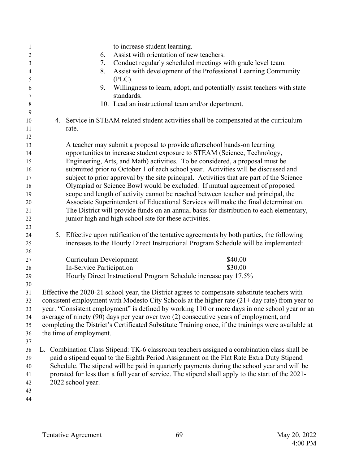| 1     |                               | to increase student learning.                          |                                                                                                     |
|-------|-------------------------------|--------------------------------------------------------|-----------------------------------------------------------------------------------------------------|
| 2     | 6.                            | Assist with orientation of new teachers.               |                                                                                                     |
| 3     | 7.                            |                                                        | Conduct regularly scheduled meetings with grade level team.                                         |
| 4     | 8.                            |                                                        | Assist with development of the Professional Learning Community                                      |
| 5     |                               | $(PLC)$ .                                              |                                                                                                     |
| 6     | 9.                            |                                                        | Willingness to learn, adopt, and potentially assist teachers with state                             |
| 7     |                               | standards.                                             |                                                                                                     |
| $8\,$ |                               |                                                        | 10. Lead an instructional team and/or department.                                                   |
| 9     |                               |                                                        |                                                                                                     |
| 10    |                               |                                                        | 4. Service in STEAM related student activities shall be compensated at the curriculum               |
| 11    | rate.                         |                                                        |                                                                                                     |
| 12    |                               |                                                        |                                                                                                     |
| 13    |                               |                                                        | A teacher may submit a proposal to provide afterschool hands-on learning                            |
| 14    |                               |                                                        | opportunities to increase student exposure to STEAM (Science, Technology,                           |
| 15    |                               |                                                        | Engineering, Arts, and Math) activities. To be considered, a proposal must be                       |
| 16    |                               |                                                        | submitted prior to October 1 of each school year. Activities will be discussed and                  |
| 17    |                               |                                                        | subject to prior approval by the site principal. Activities that are part of the Science            |
| 18    |                               |                                                        | Olympiad or Science Bowl would be excluded. If mutual agreement of proposed                         |
| 19    |                               |                                                        | scope and length of activity cannot be reached between teacher and principal, the                   |
| 20    |                               |                                                        | Associate Superintendent of Educational Services will make the final determination.                 |
| 21    |                               |                                                        | The District will provide funds on an annual basis for distribution to each elementary,             |
| 22    |                               | junior high and high school site for these activities. |                                                                                                     |
| 23    |                               |                                                        |                                                                                                     |
| 24    |                               |                                                        | 5. Effective upon ratification of the tentative agreements by both parties, the following           |
| 25    |                               |                                                        | increases to the Hourly Direct Instructional Program Schedule will be implemented:                  |
| 26    |                               |                                                        |                                                                                                     |
| 27    | <b>Curriculum Development</b> |                                                        | \$40.00                                                                                             |
| 28    | In-Service Participation      |                                                        | \$30.00                                                                                             |
| 29    |                               |                                                        | Hourly Direct Instructional Program Schedule increase pay 17.5%                                     |
| 30    |                               |                                                        |                                                                                                     |
| 31    |                               |                                                        | Effective the 2020-21 school year, the District agrees to compensate substitute teachers with       |
| 32    |                               |                                                        | consistent employment with Modesto City Schools at the higher rate $(21 + day$ rate) from year to   |
| 33    |                               |                                                        | year. "Consistent employment" is defined by working 110 or more days in one school year or an       |
| 34    |                               |                                                        | average of ninety (90) days per year over two (2) consecutive years of employment, and              |
| 35    |                               |                                                        | completing the District's Certificated Substitute Training once, if the trainings were available at |
| 36    | the time of employment.       |                                                        |                                                                                                     |
| 37    |                               |                                                        |                                                                                                     |
| 38    |                               |                                                        | L. Combination Class Stipend: TK-6 classroom teachers assigned a combination class shall be         |
| 39    |                               |                                                        | paid a stipend equal to the Eighth Period Assignment on the Flat Rate Extra Duty Stipend            |
| 40    |                               |                                                        | Schedule. The stipend will be paid in quarterly payments during the school year and will be         |
| 41    |                               |                                                        | prorated for less than a full year of service. The stipend shall apply to the start of the 2021-    |
| 42    | 2022 school year.             |                                                        |                                                                                                     |
| 43    |                               |                                                        |                                                                                                     |
| 44    |                               |                                                        |                                                                                                     |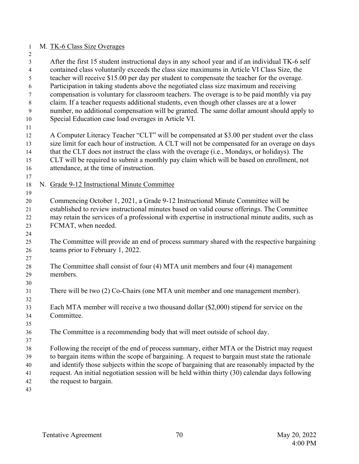#### M. TK-6 Class Size Overages  $\frac{1}{2}$

| ∠                        |                                                                                                                                                                                                                                                                                             |
|--------------------------|---------------------------------------------------------------------------------------------------------------------------------------------------------------------------------------------------------------------------------------------------------------------------------------------|
| 3<br>$\overline{4}$<br>5 | After the first 15 student instructional days in any school year and if an individual TK-6 self<br>contained class voluntarily exceeds the class size maximums in Article VI Class Size, the<br>teacher will receive \$15.00 per day per student to compensate the teacher for the overage. |
| 6                        | Participation in taking students above the negotiated class size maximum and receiving                                                                                                                                                                                                      |
| 7                        | compensation is voluntary for classroom teachers. The overage is to be paid monthly via pay                                                                                                                                                                                                 |
| 8                        | claim. If a teacher requests additional students, even though other classes are at a lower                                                                                                                                                                                                  |
| 9                        | number, no additional compensation will be granted. The same dollar amount should apply to                                                                                                                                                                                                  |
| 10                       | Special Education case load overages in Article VI.                                                                                                                                                                                                                                         |
| 11                       |                                                                                                                                                                                                                                                                                             |
| 12                       | A Computer Literacy Teacher "CLT" will be compensated at \$3.00 per student over the class                                                                                                                                                                                                  |
| 13                       | size limit for each hour of instruction. A CLT will not be compensated for an overage on days                                                                                                                                                                                               |
| 14                       | that the CLT does not instruct the class with the overage (i.e., Mondays, or holidays). The                                                                                                                                                                                                 |
| 15                       | CLT will be required to submit a monthly pay claim which will be based on enrollment, not                                                                                                                                                                                                   |
| 16                       | attendance, at the time of instruction.                                                                                                                                                                                                                                                     |
| 17                       |                                                                                                                                                                                                                                                                                             |
| 18                       | N. Grade 9-12 Instructional Minute Committee                                                                                                                                                                                                                                                |
| 19                       |                                                                                                                                                                                                                                                                                             |
| 20                       | Commencing October 1, 2021, a Grade 9-12 Instructional Minute Committee will be<br>established to review instructional minutes based on valid course offerings. The Committee                                                                                                               |
| 21<br>22                 | may retain the services of a professional with expertise in instructional minute audits, such as                                                                                                                                                                                            |
| 23                       | FCMAT, when needed.                                                                                                                                                                                                                                                                         |
| 24                       |                                                                                                                                                                                                                                                                                             |
| 25                       | The Committee will provide an end of process summary shared with the respective bargaining                                                                                                                                                                                                  |
| 26                       | teams prior to February 1, 2022.                                                                                                                                                                                                                                                            |
| 27                       |                                                                                                                                                                                                                                                                                             |
| 28                       | The Committee shall consist of four (4) MTA unit members and four (4) management                                                                                                                                                                                                            |
| 29                       | members.                                                                                                                                                                                                                                                                                    |
| 30                       |                                                                                                                                                                                                                                                                                             |
| 31                       | There will be two (2) Co-Chairs (one MTA unit member and one management member).                                                                                                                                                                                                            |
| 32                       |                                                                                                                                                                                                                                                                                             |
| 33                       | Each MTA member will receive a two thousand dollar (\$2,000) stipend for service on the                                                                                                                                                                                                     |
| 34                       | Committee.                                                                                                                                                                                                                                                                                  |
| 35                       |                                                                                                                                                                                                                                                                                             |
| 36                       | The Committee is a recommending body that will meet outside of school day.                                                                                                                                                                                                                  |
| 37                       |                                                                                                                                                                                                                                                                                             |
| 38                       | Following the receipt of the end of process summary, either MTA or the District may request                                                                                                                                                                                                 |
| 39                       | to bargain items within the scope of bargaining. A request to bargain must state the rationale                                                                                                                                                                                              |
| 40                       | and identify those subjects within the scope of bargaining that are reasonably impacted by the                                                                                                                                                                                              |
| 41                       | request. An initial negotiation session will be held within thirty (30) calendar days following                                                                                                                                                                                             |
| 42                       | the request to bargain.                                                                                                                                                                                                                                                                     |
| 43                       |                                                                                                                                                                                                                                                                                             |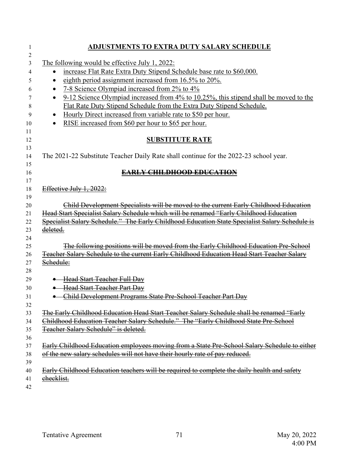| <b>ADJUSTMENTS TO EXTRA DUTY SALARY SCHEDULE</b><br>1                                                                        |  |
|------------------------------------------------------------------------------------------------------------------------------|--|
| 2                                                                                                                            |  |
| The following would be effective July 1, 2022:<br>3<br>increase Flat Rate Extra Duty Stipend Schedule base rate to \$60,000. |  |
| 4<br>eighth period assignment increased from 16.5% to 20%.<br>5                                                              |  |
| 7-8 Science Olympiad increased from 2% to 4%                                                                                 |  |
| $\bullet$<br>9-12 Science Olympiad increased from 4% to 10.25%, this stipend shall be moved to the                           |  |
| $\bullet$<br>Flat Rate Duty Stipend Schedule from the Extra Duty Stipend Schedule.                                           |  |
| Hourly Direct increased from variable rate to \$50 per hour.<br>$\bullet$                                                    |  |
| RISE increased from \$60 per hour to \$65 per hour.                                                                          |  |
|                                                                                                                              |  |
| <b>SUBSTITUTE RATE</b>                                                                                                       |  |
| The 2021-22 Substitute Teacher Daily Rate shall continue for the 2022-23 school year.                                        |  |
| <u>EARLY CHILDHOOD EDUCATION</u>                                                                                             |  |
| Effective July 1, 2022:                                                                                                      |  |
|                                                                                                                              |  |
| Child Development Specialists will be moved to the current Early Childhood Education                                         |  |
| Head Start Specialist Salary Schedule which will be renamed "Early Childhood Education                                       |  |
| Specialist Salary Schedule." The Early Childhood Education State Specialist Salary Schedule is                               |  |
| deleted.                                                                                                                     |  |
|                                                                                                                              |  |
| The following positions will be moved from the Early Childhood Education Pre-School                                          |  |
| Teacher Salary Schedule to the current Early Childhood Education Head Start Teacher Salary                                   |  |
| Schedule:                                                                                                                    |  |
|                                                                                                                              |  |
| • Head Start Teacher Full Day                                                                                                |  |
| <b>•</b> Head Start Teacher Part Day                                                                                         |  |
| Child Development Programs State Pre-School Teacher Part Day                                                                 |  |
|                                                                                                                              |  |
| The Early Childhood Education Head Start Teacher Salary Schedule shall be renamed "Early                                     |  |
| Childhood Education Teacher Salary Schedule." The "Early Childhood State Pre-School                                          |  |
| Teacher Salary Schedule" is deleted.                                                                                         |  |
| Early Childhood Education employees moving from a State Pre-School Salary Schedule to either                                 |  |
| of the new salary schedules will not have their hourly rate of pay reduced.                                                  |  |
| Early Childhood Education teachers will be required to complete the daily health and safety                                  |  |
| checklist.                                                                                                                   |  |
|                                                                                                                              |  |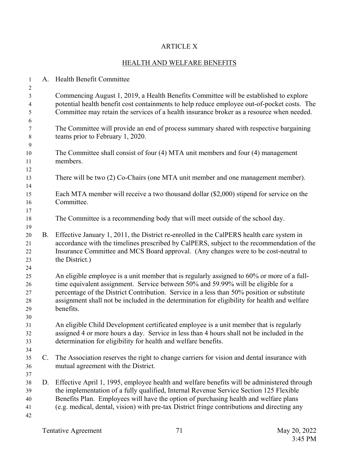## ARTICLE X

# HEALTH AND WELFARE BENEFITS

| $\mathbf{1}$                                        |                | A. Health Benefit Committee                                                                                                                                                                                                                                                                                                                                                                |
|-----------------------------------------------------|----------------|--------------------------------------------------------------------------------------------------------------------------------------------------------------------------------------------------------------------------------------------------------------------------------------------------------------------------------------------------------------------------------------------|
| $\sqrt{2}$<br>$\mathfrak{Z}$<br>$\overline{4}$<br>5 |                | Commencing August 1, 2019, a Health Benefits Committee will be established to explore<br>potential health benefit cost containments to help reduce employee out-of-pocket costs. The<br>Committee may retain the services of a health insurance broker as a resource when needed.                                                                                                          |
| 6<br>7<br>$\,8\,$<br>9                              |                | The Committee will provide an end of process summary shared with respective bargaining<br>teams prior to February 1, 2020.                                                                                                                                                                                                                                                                 |
| 10<br>11<br>12                                      |                | The Committee shall consist of four (4) MTA unit members and four (4) management<br>members.                                                                                                                                                                                                                                                                                               |
| 13<br>14                                            |                | There will be two (2) Co-Chairs (one MTA unit member and one management member).                                                                                                                                                                                                                                                                                                           |
| 15<br>16<br>17                                      |                | Each MTA member will receive a two thousand dollar (\$2,000) stipend for service on the<br>Committee.                                                                                                                                                                                                                                                                                      |
| 18<br>19                                            |                | The Committee is a recommending body that will meet outside of the school day.                                                                                                                                                                                                                                                                                                             |
| 20<br>21<br>22<br>23                                | <b>B.</b>      | Effective January 1, 2011, the District re-enrolled in the CalPERS health care system in<br>accordance with the timelines prescribed by CalPERS, subject to the recommendation of the<br>Insurance Committee and MCS Board approval. (Any changes were to be cost-neutral to<br>the District.)                                                                                             |
| 24<br>25<br>26<br>27<br>28<br>29                    |                | An eligible employee is a unit member that is regularly assigned to 60% or more of a full-<br>time equivalent assignment. Service between 50% and 59.99% will be eligible for a<br>percentage of the District Contribution. Service in a less than 50% position or substitute<br>assignment shall not be included in the determination for eligibility for health and welfare<br>benefits. |
| 30<br>31<br>32<br>33<br>34                          |                | An eligible Child Development certificated employee is a unit member that is regularly<br>assigned 4 or more hours a day. Service in less than 4 hours shall not be included in the<br>determination for eligibility for health and welfare benefits.                                                                                                                                      |
| 35<br>36                                            | $\mathbf{C}$ . | The Association reserves the right to change carriers for vision and dental insurance with<br>mutual agreement with the District.                                                                                                                                                                                                                                                          |
| 37<br>38<br>39<br>40<br>41<br>42                    | D.             | Effective April 1, 1995, employee health and welfare benefits will be administered through<br>the implementation of a fully qualified, Internal Revenue Service Section 125 Flexible<br>Benefits Plan. Employees will have the option of purchasing health and welfare plans<br>(e.g. medical, dental, vision) with pre-tax District fringe contributions and directing any                |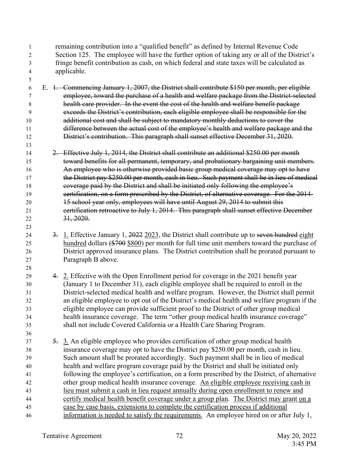| 1  | remaining contribution into a "qualified benefit" as defined by Internal Revenue Code                      |
|----|------------------------------------------------------------------------------------------------------------|
| 2  | Section 125. The employee will have the further option of taking any or all of the District's              |
| 3  | fringe benefit contribution as cash, on which federal and state taxes will be calculated as                |
| 4  | applicable.                                                                                                |
| 5  |                                                                                                            |
| 6  | E. 1. Commencing January 1, 2007, the District shall contribute \$150 per month, per eligible              |
| 7  | employee, toward the purchase of a health and welfare package from the District-selected                   |
| 8  | health care provider. In the event the cost of the health and welfare benefit package                      |
| 9  | exceeds the District's contribution, each eligible employee shall be responsible for the                   |
| 10 | additional cost and shall be subject to mandatory monthly deductions to cover the                          |
| 11 | difference between the actual cost of the employee's health and welfare package and the                    |
| 12 | District's contribution. This paragraph shall sunset effective December 31, 2020.                          |
| 13 |                                                                                                            |
| 14 | 2. Effective July 1, 2014, the District shall contribute an additional \$250.00 per month                  |
| 15 | toward benefits for all permanent, temporary, and probationary bargaining unit members.                    |
| 16 | An employee who is otherwise provided basic group medical coverage may opt to have                         |
| 17 | the District pay \$250.00 per month, cash in lieu. Such payment shall be in lieu of medical                |
| 18 | eoverage paid by the District and shall be initiated only following the employee's                         |
| 19 | eertification, on a form prescribed by the District, of alternative coverage. For the 2014-                |
| 20 | 15 school year only, employees will have until August 29, 2014 to submit this                              |
| 21 | eertification retroactive to July 1, 2014. This paragraph shall sunset effective December                  |
| 22 | 31,2020.                                                                                                   |
| 23 |                                                                                                            |
| 24 | $\frac{3}{2}$ . 1. Effective January 1, 2022 2023, the District shall contribute up to seven hundred eight |
| 25 | hundred dollars $(*700 $800)$ per month for full time unit members toward the purchase of                  |
| 26 | District approved insurance plans. The District contribution shall be prorated pursuant to                 |
| 27 | Paragraph B above.                                                                                         |
| 28 |                                                                                                            |
| 29 | 4. 2. Effective with the Open Enrollment period for coverage in the 2021 benefit year                      |
| 30 | (January 1 to December 31), each eligible employee shall be required to enroll in the                      |
| 31 | District-selected medical health and welfare program. However, the District shall permit                   |
| 32 | an eligible employee to opt out of the District's medical health and welfare program if the                |
| 33 | eligible employee can provide sufficient proof to the District of other group medical                      |
| 34 | health insurance coverage. The term "other group medical health insurance coverage"                        |
| 35 | shall not include Covered California or a Health Care Sharing Program.                                     |
| 36 |                                                                                                            |
| 37 | 5. 3. An eligible employee who provides certification of other group medical health                        |
| 38 | insurance coverage may opt to have the District pay \$250.00 per month, cash in lieu.                      |
| 39 | Such amount shall be prorated accordingly. Such payment shall be in lieu of medical                        |
| 40 | health and welfare program coverage paid by the District and shall be initiated only                       |
| 41 | following the employee's certification, on a form prescribed by the District, of alternative               |
| 42 | other group medical health insurance coverage. An eligible employee receiving cash in                      |
| 43 | lieu must submit a cash in lieu request annually during open enrollment to renew and                       |
|    | tify used inel health heurefit expresses you don't enoughly The District more and                          |

- 44 certify medical health benefit coverage under a group plan. The District may grant on a 45 case by case basis, extensions to complete the certification process if additional
- increase information is needed to satisfy the requirements. An employee hired on or after July 1,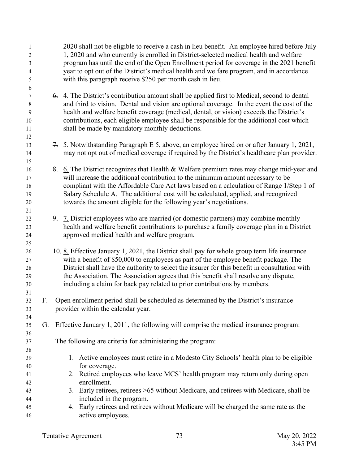| $\mathbf{1}$<br>$\overline{2}$<br>3<br>$\overline{4}$<br>5 |    | 2020 shall not be eligible to receive a cash in lieu benefit. An employee hired before July<br>1, 2020 and who currently is enrolled in District-selected medical health and welfare<br>program has until the end of the Open Enrollment period for coverage in the 2021 benefit<br>year to opt out of the District's medical health and welfare program, and in accordance<br>with this paragraph receive \$250 per month cash in lieu.                   |
|------------------------------------------------------------|----|------------------------------------------------------------------------------------------------------------------------------------------------------------------------------------------------------------------------------------------------------------------------------------------------------------------------------------------------------------------------------------------------------------------------------------------------------------|
| 6<br>7<br>8<br>9<br>10<br>11<br>12                         |    | $\frac{6}{10}$ . The District's contribution amount shall be applied first to Medical, second to dental<br>and third to vision. Dental and vision are optional coverage. In the event the cost of the<br>health and welfare benefit coverage (medical, dental, or vision) exceeds the District's<br>contributions, each eligible employee shall be responsible for the additional cost which<br>shall be made by mandatory monthly deductions.             |
| 13<br>14<br>15                                             |    | 7. 5. Notwithstanding Paragraph E 5, above, an employee hired on or after January 1, 2021,<br>may not opt out of medical coverage if required by the District's healthcare plan provider.                                                                                                                                                                                                                                                                  |
| 16<br>17<br>18<br>19<br>20<br>21                           |    | 8. 6. The District recognizes that Health & Welfare premium rates may change mid-year and<br>will increase the additional contribution to the minimum amount necessary to be<br>compliant with the Affordable Care Act laws based on a calculation of Range 1/Step 1 of<br>Salary Schedule A. The additional cost will be calculated, applied, and recognized<br>towards the amount eligible for the following year's negotiations.                        |
| 22<br>23<br>24<br>25                                       |    | 9. 7. District employees who are married (or domestic partners) may combine monthly<br>health and welfare benefit contributions to purchase a family coverage plan in a District<br>approved medical health and welfare program.                                                                                                                                                                                                                           |
| 26<br>27<br>28<br>29<br>30<br>31                           |    | 10. 8. Effective January 1, 2021, the District shall pay for whole group term life insurance<br>with a benefit of \$50,000 to employees as part of the employee benefit package. The<br>District shall have the authority to select the insurer for this benefit in consultation with<br>the Association. The Association agrees that this benefit shall resolve any dispute,<br>including a claim for back pay related to prior contributions by members. |
| 32<br>33                                                   | F. | Open enrollment period shall be scheduled as determined by the District's insurance<br>provider within the calendar year.                                                                                                                                                                                                                                                                                                                                  |
| 34<br>35<br>36                                             | G. | Effective January 1, 2011, the following will comprise the medical insurance program:                                                                                                                                                                                                                                                                                                                                                                      |
| 37<br>38                                                   |    | The following are criteria for administering the program:                                                                                                                                                                                                                                                                                                                                                                                                  |
| 39<br>40<br>41<br>42                                       |    | 1. Active employees must retire in a Modesto City Schools' health plan to be eligible<br>for coverage.<br>2. Retired employees who leave MCS' health program may return only during open<br>enrollment.                                                                                                                                                                                                                                                    |
| 43<br>44                                                   |    | 3. Early retirees, retirees >65 without Medicare, and retirees with Medicare, shall be<br>included in the program.                                                                                                                                                                                                                                                                                                                                         |
| 45<br>46                                                   |    | 4. Early retirees and retirees without Medicare will be charged the same rate as the<br>active employees.                                                                                                                                                                                                                                                                                                                                                  |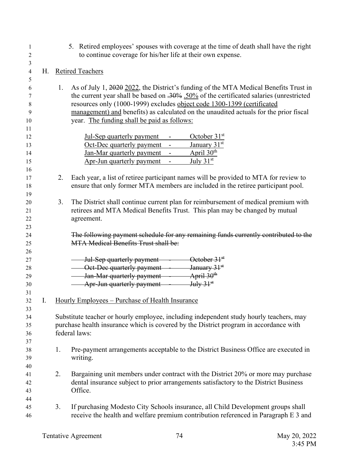| $\mathbf{1}$<br>2                |                               |                                                                                                                                                                                                                                                              | 5. Retired employees' spouses with coverage at the time of death shall have the right<br>to continue coverage for his/her life at their own expense.                                                                                                                                                                                                                                                     |
|----------------------------------|-------------------------------|--------------------------------------------------------------------------------------------------------------------------------------------------------------------------------------------------------------------------------------------------------------|----------------------------------------------------------------------------------------------------------------------------------------------------------------------------------------------------------------------------------------------------------------------------------------------------------------------------------------------------------------------------------------------------------|
| 3                                | <b>Retired Teachers</b><br>Н. |                                                                                                                                                                                                                                                              |                                                                                                                                                                                                                                                                                                                                                                                                          |
| $\overline{4}$<br>5              |                               |                                                                                                                                                                                                                                                              |                                                                                                                                                                                                                                                                                                                                                                                                          |
| 6<br>7<br>8<br>9<br>10           |                               | 1.                                                                                                                                                                                                                                                           | As of July 1, 2020 2022, the District's funding of the MTA Medical Benefits Trust in<br>the current year shall be based on $.30\%$ $.50\%$ of the certificated salaries (unrestricted<br>resources only (1000-1999) excludes object code 1300-1399 (certificated<br>management) and benefits) as calculated on the unaudited actuals for the prior fiscal<br>year. The funding shall be paid as follows: |
| 11<br>12<br>13<br>14<br>15<br>16 |                               |                                                                                                                                                                                                                                                              | October $31st$<br>Jul-Sep quarterly payment<br>January 31st<br>Oct-Dec quarterly payment<br>April 30 <sup>th</sup><br>Jan-Mar quarterly payment<br>Apr-Jun quarterly payment<br>July $31st$                                                                                                                                                                                                              |
| 17<br>18<br>19                   |                               | 2.                                                                                                                                                                                                                                                           | Each year, a list of retiree participant names will be provided to MTA for review to<br>ensure that only former MTA members are included in the retiree participant pool.                                                                                                                                                                                                                                |
| 20<br>21<br>22<br>23             |                               | 3.                                                                                                                                                                                                                                                           | The District shall continue current plan for reimbursement of medical premium with<br>retirees and MTA Medical Benefits Trust. This plan may be changed by mutual<br>agreement.                                                                                                                                                                                                                          |
| 24<br>25<br>26                   |                               |                                                                                                                                                                                                                                                              | The following payment schedule for any remaining funds currently contributed to the<br><b>MTA Medical Benefits Trust shall be:</b>                                                                                                                                                                                                                                                                       |
| 27<br>28<br>29<br>30<br>31       |                               |                                                                                                                                                                                                                                                              | <b>EXAMPLE 19 Jul-Sep quarterly payment</b> Fig. 2.1st<br>- Oct-Dec quarterly payment - January 31 <sup>st</sup><br><b>1944</b> Jan-Mar quarterly payment - April 30 <sup>th</sup><br>- Apr-Jun quarterly payment - July 31 <sup>st</sup>                                                                                                                                                                |
| 32<br>33                         | I.                            | <u> Hourly Employees – Purchase of Health Insurance</u><br>Substitute teacher or hourly employee, including independent study hourly teachers, may<br>purchase health insurance which is covered by the District program in accordance with<br>federal laws: |                                                                                                                                                                                                                                                                                                                                                                                                          |
| 34<br>35<br>36<br>37             |                               |                                                                                                                                                                                                                                                              |                                                                                                                                                                                                                                                                                                                                                                                                          |
| 38<br>39<br>40                   |                               | 1.                                                                                                                                                                                                                                                           | Pre-payment arrangements acceptable to the District Business Office are executed in<br>writing.                                                                                                                                                                                                                                                                                                          |
| 41<br>42<br>43<br>44             |                               | 2.                                                                                                                                                                                                                                                           | Bargaining unit members under contract with the District 20% or more may purchase<br>dental insurance subject to prior arrangements satisfactory to the District Business<br>Office.                                                                                                                                                                                                                     |
| 45<br>46                         |                               | 3.                                                                                                                                                                                                                                                           | If purchasing Modesto City Schools insurance, all Child Development groups shall<br>receive the health and welfare premium contribution referenced in Paragraph E 3 and                                                                                                                                                                                                                                  |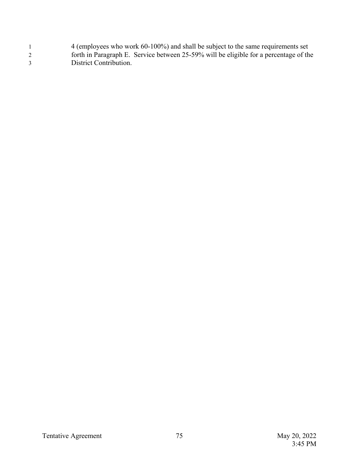1 4 (employees who work 60-100%) and shall be subject to the same requirements set 2 forth in Paragraph E. Service between 25-59% will be eligible for a percentage of the 3 District Contribution.